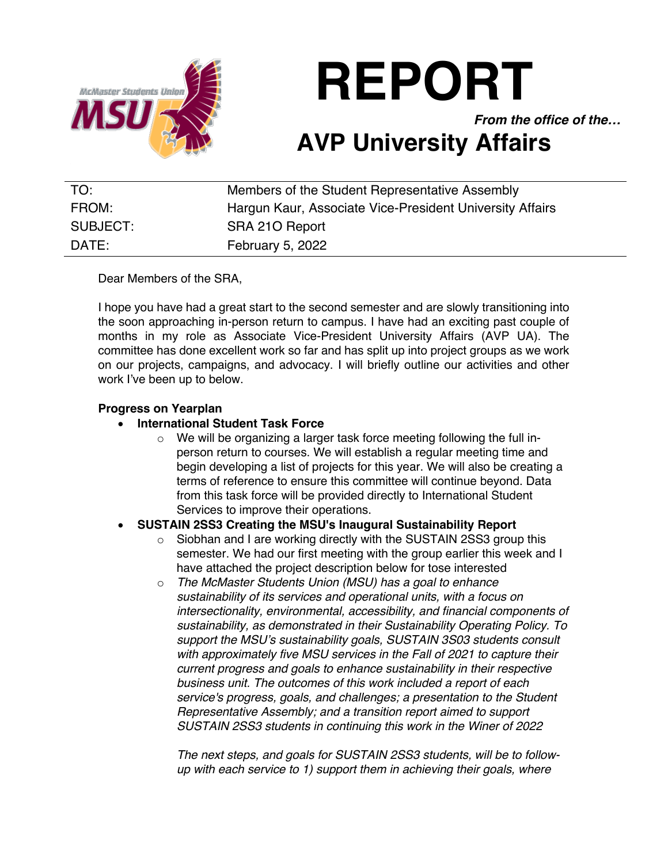

**REPORT**

*From the office of the…*

# **AVP University Affairs**

| TO:      | Members of the Student Representative Assembly           |
|----------|----------------------------------------------------------|
| FROM:    | Hargun Kaur, Associate Vice-President University Affairs |
| SUBJECT: | SRA 210 Report                                           |
| DATE:    | February 5, 2022                                         |

Dear Members of the SRA,

I hope you have had a great start to the second semester and are slowly transitioning into the soon approaching in-person return to campus. I have had an exciting past couple of months in my role as Associate Vice-President University Affairs (AVP UA). The committee has done excellent work so far and has split up into project groups as we work on our projects, campaigns, and advocacy. I will briefly outline our activities and other work I've been up to below.

#### **Progress on Yearplan**

#### • **International Student Task Force**

o We will be organizing a larger task force meeting following the full inperson return to courses. We will establish a regular meeting time and begin developing a list of projects for this year. We will also be creating a terms of reference to ensure this committee will continue beyond. Data from this task force will be provided directly to International Student Services to improve their operations.

## • **SUSTAIN 2SS3 Creating the MSU's Inaugural Sustainability Report**

- o Siobhan and I are working directly with the SUSTAIN 2SS3 group this semester. We had our first meeting with the group earlier this week and I have attached the project description below for tose interested
- o *The McMaster Students Union (MSU) has a goal to enhance sustainability of its services and operational units, with a focus on intersectionality, environmental, accessibility, and financial components of sustainability, as demonstrated in their Sustainability Operating Policy. To support the MSU's sustainability goals, SUSTAIN 3S03 students consult with approximately five MSU services in the Fall of 2021 to capture their current progress and goals to enhance sustainability in their respective business unit. The outcomes of this work included a report of each service's progress, goals, and challenges; a presentation to the Student Representative Assembly; and a transition report aimed to support SUSTAIN 2SS3 students in continuing this work in the Winer of 2022*

*The next steps, and goals for SUSTAIN 2SS3 students, will be to followup with each service to 1) support them in achieving their goals, where*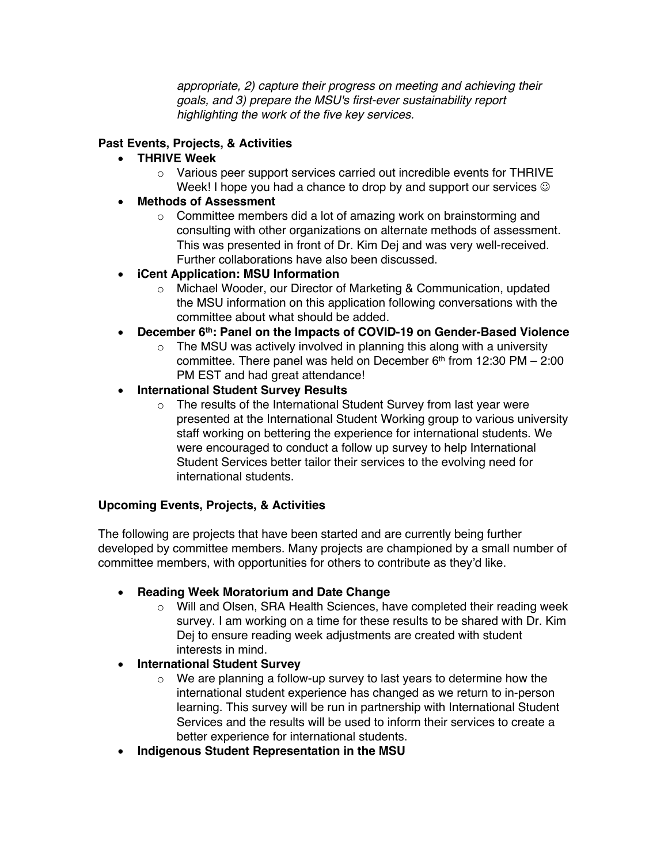*appropriate, 2) capture their progress on meeting and achieving their goals, and 3) prepare the MSU's first-ever sustainability report highlighting the work of the five key services.*

## **Past Events, Projects, & Activities**

## • **THRIVE Week**

 $\circ$  Various peer support services carried out incredible events for THRIVE Week! I hope you had a chance to drop by and support our services  $\odot$ 

# • **Methods of Assessment**

o Committee members did a lot of amazing work on brainstorming and consulting with other organizations on alternate methods of assessment. This was presented in front of Dr. Kim Dej and was very well-received. Further collaborations have also been discussed.

# • **iCent Application: MSU Information**

- o Michael Wooder, our Director of Marketing & Communication, updated the MSU information on this application following conversations with the committee about what should be added.
- **December 6th: Panel on the Impacts of COVID-19 on Gender-Based Violence**
	- $\circ$  The MSU was actively involved in planning this along with a university committee. There panel was held on December  $6<sup>th</sup>$  from 12:30 PM – 2:00 PM EST and had great attendance!

## • **International Student Survey Results**

o The results of the International Student Survey from last year were presented at the International Student Working group to various university staff working on bettering the experience for international students. We were encouraged to conduct a follow up survey to help International Student Services better tailor their services to the evolving need for international students.

## **Upcoming Events, Projects, & Activities**

The following are projects that have been started and are currently being further developed by committee members. Many projects are championed by a small number of committee members, with opportunities for others to contribute as they'd like.

## • **Reading Week Moratorium and Date Change**

o Will and Olsen, SRA Health Sciences, have completed their reading week survey. I am working on a time for these results to be shared with Dr. Kim Dej to ensure reading week adjustments are created with student interests in mind.

## • **International Student Survey**

- $\circ$  We are planning a follow-up survey to last years to determine how the international student experience has changed as we return to in-person learning. This survey will be run in partnership with International Student Services and the results will be used to inform their services to create a better experience for international students.
- **Indigenous Student Representation in the MSU**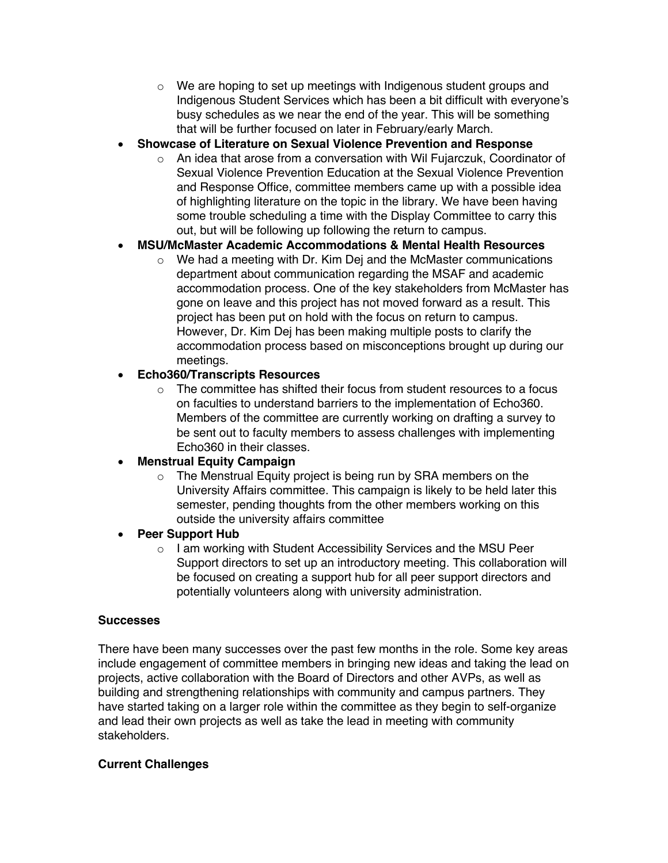- $\circ$  We are hoping to set up meetings with Indigenous student groups and Indigenous Student Services which has been a bit difficult with everyone's busy schedules as we near the end of the year. This will be something that will be further focused on later in February/early March.
- **Showcase of Literature on Sexual Violence Prevention and Response**
	- $\circ$  An idea that arose from a conversation with Wil Fujarczuk, Coordinator of Sexual Violence Prevention Education at the Sexual Violence Prevention and Response Office, committee members came up with a possible idea of highlighting literature on the topic in the library. We have been having some trouble scheduling a time with the Display Committee to carry this out, but will be following up following the return to campus.

# • **MSU/McMaster Academic Accommodations & Mental Health Resources**

o We had a meeting with Dr. Kim Dej and the McMaster communications department about communication regarding the MSAF and academic accommodation process. One of the key stakeholders from McMaster has gone on leave and this project has not moved forward as a result. This project has been put on hold with the focus on return to campus. However, Dr. Kim Dej has been making multiple posts to clarify the accommodation process based on misconceptions brought up during our meetings.

## • **Echo360/Transcripts Resources**

 $\circ$  The committee has shifted their focus from student resources to a focus on faculties to understand barriers to the implementation of Echo360. Members of the committee are currently working on drafting a survey to be sent out to faculty members to assess challenges with implementing Echo360 in their classes.

## • **Menstrual Equity Campaign**

o The Menstrual Equity project is being run by SRA members on the University Affairs committee. This campaign is likely to be held later this semester, pending thoughts from the other members working on this outside the university affairs committee

## • **Peer Support Hub**

o I am working with Student Accessibility Services and the MSU Peer Support directors to set up an introductory meeting. This collaboration will be focused on creating a support hub for all peer support directors and potentially volunteers along with university administration.

#### **Successes**

There have been many successes over the past few months in the role. Some key areas include engagement of committee members in bringing new ideas and taking the lead on projects, active collaboration with the Board of Directors and other AVPs, as well as building and strengthening relationships with community and campus partners. They have started taking on a larger role within the committee as they begin to self-organize and lead their own projects as well as take the lead in meeting with community stakeholders.

## **Current Challenges**